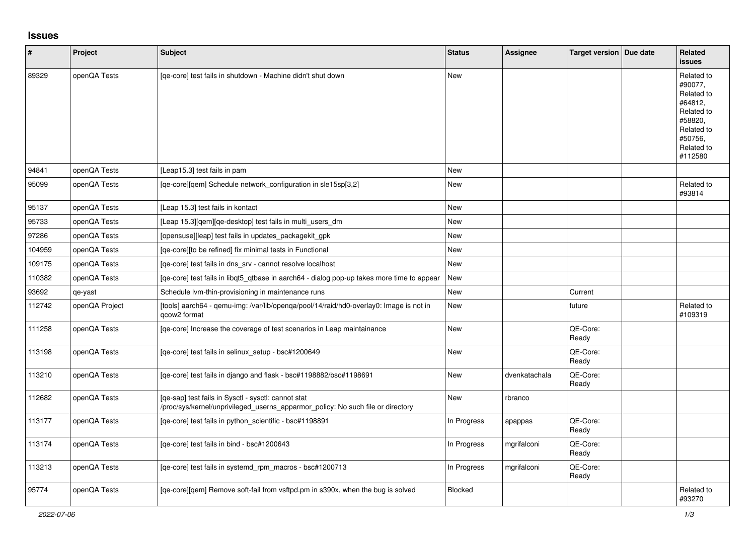## **Issues**

| ∦      | Project        | <b>Subject</b>                                                                                                                         | <b>Status</b> | <b>Assignee</b> | Target version   Due date | Related<br><b>issues</b>                                                                                                  |
|--------|----------------|----------------------------------------------------------------------------------------------------------------------------------------|---------------|-----------------|---------------------------|---------------------------------------------------------------------------------------------------------------------------|
| 89329  | openQA Tests   | [qe-core] test fails in shutdown - Machine didn't shut down                                                                            | <b>New</b>    |                 |                           | Related to<br>#90077.<br>Related to<br>#64812,<br>Related to<br>#58820,<br>Related to<br>#50756.<br>Related to<br>#112580 |
| 94841  | openQA Tests   | [Leap15.3] test fails in pam                                                                                                           | <b>New</b>    |                 |                           |                                                                                                                           |
| 95099  | openQA Tests   | [qe-core][qem] Schedule network_configuration in sle15sp[3,2]                                                                          | <b>New</b>    |                 |                           | Related to<br>#93814                                                                                                      |
| 95137  | openQA Tests   | [Leap 15.3] test fails in kontact                                                                                                      | <b>New</b>    |                 |                           |                                                                                                                           |
| 95733  | openQA Tests   | [Leap 15.3][qem][qe-desktop] test fails in multi_users_dm                                                                              | New           |                 |                           |                                                                                                                           |
| 97286  | openQA Tests   | [opensuse][leap] test fails in updates_packagekit_gpk                                                                                  | <b>New</b>    |                 |                           |                                                                                                                           |
| 104959 | openQA Tests   | [qe-core][to be refined] fix minimal tests in Functional                                                                               | <b>New</b>    |                 |                           |                                                                                                                           |
| 109175 | openQA Tests   | [qe-core] test fails in dns_srv - cannot resolve localhost                                                                             | <b>New</b>    |                 |                           |                                                                                                                           |
| 110382 | openQA Tests   | [ge-core] test fails in libgt5 gtbase in aarch64 - dialog pop-up takes more time to appear                                             | New           |                 |                           |                                                                                                                           |
| 93692  | qe-yast        | Schedule Ivm-thin-provisioning in maintenance runs                                                                                     | New           |                 | Current                   |                                                                                                                           |
| 112742 | openQA Project | [tools] aarch64 - qemu-img: /var/lib/openqa/pool/14/raid/hd0-overlay0: Image is not in<br>gcow2 format                                 | <b>New</b>    |                 | future                    | Related to<br>#109319                                                                                                     |
| 111258 | openQA Tests   | [ge-core] Increase the coverage of test scenarios in Leap maintainance                                                                 | <b>New</b>    |                 | QE-Core:<br>Ready         |                                                                                                                           |
| 113198 | openQA Tests   | [qe-core] test fails in selinux_setup - bsc#1200649                                                                                    | <b>New</b>    |                 | QE-Core:<br>Ready         |                                                                                                                           |
| 113210 | openQA Tests   | [qe-core] test fails in django and flask - bsc#1198882/bsc#1198691                                                                     | <b>New</b>    | dvenkatachala   | QE-Core:<br>Ready         |                                                                                                                           |
| 112682 | openQA Tests   | [qe-sap] test fails in Sysctl - sysctl: cannot stat<br>/proc/sys/kernel/unprivileged_userns_apparmor_policy: No such file or directory | New           | rbranco         |                           |                                                                                                                           |
| 113177 | openQA Tests   | [qe-core] test fails in python_scientific - bsc#1198891                                                                                | In Progress   | apappas         | QE-Core:<br>Ready         |                                                                                                                           |
| 113174 | openQA Tests   | [qe-core] test fails in bind - bsc#1200643                                                                                             | In Progress   | mgrifalconi     | QE-Core:<br>Ready         |                                                                                                                           |
| 113213 | openQA Tests   | [qe-core] test fails in systemd_rpm_macros - bsc#1200713                                                                               | In Progress   | mgrifalconi     | QE-Core:<br>Ready         |                                                                                                                           |
| 95774  | openQA Tests   | [ge-core][gem] Remove soft-fail from vsftpd.pm in s390x, when the bug is solved                                                        | Blocked       |                 |                           | Related to<br>#93270                                                                                                      |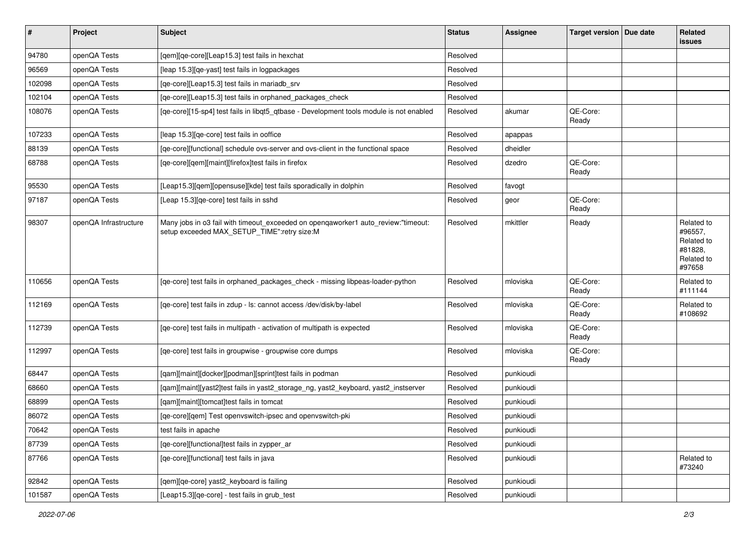| $\vert$ # | Project               | <b>Subject</b>                                                                                                                   | <b>Status</b> | <b>Assignee</b> | Target version    | Due date | <b>Related</b><br>issues                                               |
|-----------|-----------------------|----------------------------------------------------------------------------------------------------------------------------------|---------------|-----------------|-------------------|----------|------------------------------------------------------------------------|
| 94780     | openQA Tests          | [qem][qe-core][Leap15.3] test fails in hexchat                                                                                   | Resolved      |                 |                   |          |                                                                        |
| 96569     | openQA Tests          | [leap 15.3][qe-yast] test fails in logpackages                                                                                   | Resolved      |                 |                   |          |                                                                        |
| 102098    | openQA Tests          | [qe-core][Leap15.3] test fails in mariadb_srv                                                                                    | Resolved      |                 |                   |          |                                                                        |
| 102104    | openQA Tests          | [qe-core][Leap15.3] test fails in orphaned_packages_check                                                                        | Resolved      |                 |                   |          |                                                                        |
| 108076    | openQA Tests          | [qe-core][15-sp4] test fails in libqt5_qtbase - Development tools module is not enabled                                          | Resolved      | akumar          | QE-Core:<br>Ready |          |                                                                        |
| 107233    | openQA Tests          | [leap 15.3] [ge-core] test fails in ooffice                                                                                      | Resolved      | apappas         |                   |          |                                                                        |
| 88139     | openQA Tests          | [qe-core][functional] schedule ovs-server and ovs-client in the functional space                                                 | Resolved      | dheidler        |                   |          |                                                                        |
| 68788     | openQA Tests          | [qe-core][qem][maint][firefox]test fails in firefox                                                                              | Resolved      | dzedro          | QE-Core:<br>Ready |          |                                                                        |
| 95530     | openQA Tests          | [Leap15.3][qem][opensuse][kde] test fails sporadically in dolphin                                                                | Resolved      | favogt          |                   |          |                                                                        |
| 97187     | openQA Tests          | [Leap 15.3][qe-core] test fails in sshd                                                                                          | Resolved      | geor            | QE-Core:<br>Ready |          |                                                                        |
| 98307     | openQA Infrastructure | Many jobs in o3 fail with timeout_exceeded on openqaworker1 auto_review:"timeout:<br>setup exceeded MAX_SETUP_TIME":retry size:M | Resolved      | mkittler        | Ready             |          | Related to<br>#96557.<br>Related to<br>#81828.<br>Related to<br>#97658 |
| 110656    | openQA Tests          | [qe-core] test fails in orphaned_packages_check - missing libpeas-loader-python                                                  | Resolved      | mloviska        | QE-Core:<br>Ready |          | Related to<br>#111144                                                  |
| 112169    | openQA Tests          | [qe-core] test fails in zdup - ls: cannot access /dev/disk/by-label                                                              | Resolved      | mloviska        | QE-Core:<br>Ready |          | Related to<br>#108692                                                  |
| 112739    | openQA Tests          | [qe-core] test fails in multipath - activation of multipath is expected                                                          | Resolved      | mloviska        | QE-Core:<br>Ready |          |                                                                        |
| 112997    | openQA Tests          | [qe-core] test fails in groupwise - groupwise core dumps                                                                         | Resolved      | mloviska        | QE-Core:<br>Ready |          |                                                                        |
| 68447     | openQA Tests          | [qam][maint][docker][podman][sprint]test fails in podman                                                                         | Resolved      | punkioudi       |                   |          |                                                                        |
| 68660     | openQA Tests          | [qam][maint][yast2]test fails in yast2_storage_ng, yast2_keyboard, yast2_instserver                                              | Resolved      | punkioudi       |                   |          |                                                                        |
| 68899     | openQA Tests          | [qam][maint][tomcat]test fails in tomcat                                                                                         | Resolved      | punkioudi       |                   |          |                                                                        |
| 86072     | openQA Tests          | [qe-core][qem] Test openvswitch-ipsec and openvswitch-pki                                                                        | Resolved      | punkioudi       |                   |          |                                                                        |
| 70642     | openQA Tests          | test fails in apache                                                                                                             | Resolved      | punkioudi       |                   |          |                                                                        |
| 87739     | openQA Tests          | [qe-core][functional]test fails in zypper_ar                                                                                     | Resolved      | punkioudi       |                   |          |                                                                        |
| 87766     | openQA Tests          | [qe-core][functional] test fails in java                                                                                         | Resolved      | punkioudi       |                   |          | Related to<br>#73240                                                   |
| 92842     | openQA Tests          | [qem][qe-core] yast2_keyboard is failing                                                                                         | Resolved      | punkioudi       |                   |          |                                                                        |
| 101587    | openQA Tests          | [Leap15.3][qe-core] - test fails in grub_test                                                                                    | Resolved      | punkioudi       |                   |          |                                                                        |